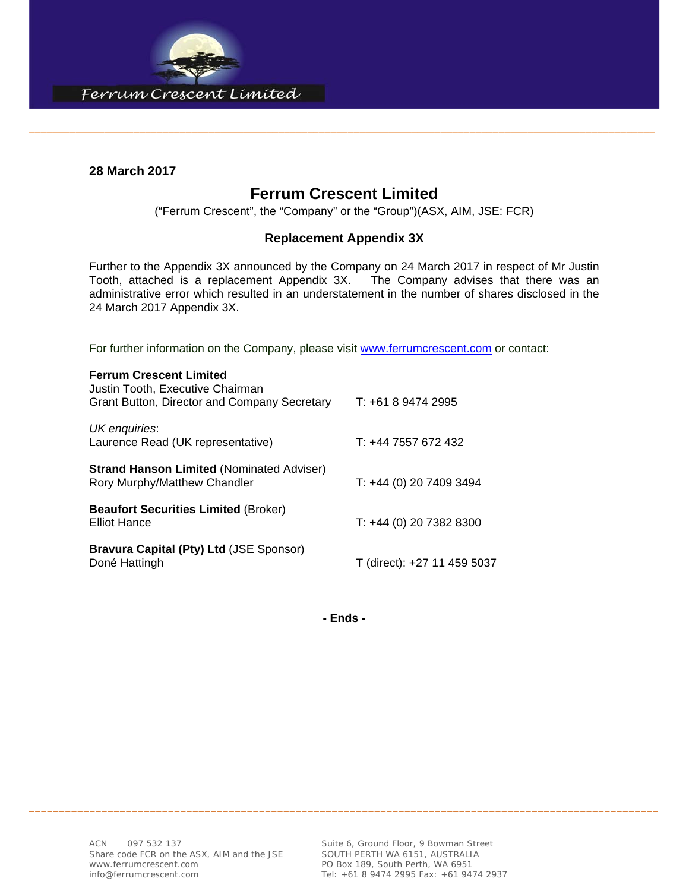

### **28 March 2017**

### **Ferrum Crescent Limited**

\_\_\_\_\_\_\_\_\_\_\_\_\_\_\_\_\_\_\_\_\_\_\_\_\_\_\_\_\_\_\_\_\_\_\_\_\_\_\_\_\_\_\_\_\_\_\_\_\_\_\_\_\_\_\_\_\_\_\_\_\_\_\_\_\_\_\_\_\_\_\_\_\_\_\_\_\_\_\_\_\_\_\_\_\_\_\_\_\_\_\_\_\_\_\_\_\_\_\_\_\_\_\_\_\_\_\_\_

("Ferrum Crescent", the "Company" or the "Group")(ASX, AIM, JSE: FCR)

### **Replacement Appendix 3X**

Further to the Appendix 3X announced by the Company on 24 March 2017 in respect of Mr Justin Tooth, attached is a replacement Appendix 3X. The Company advises that there was an administrative error which resulted in an understatement in the number of shares disclosed in the 24 March 2017 Appendix 3X.

For further information on the Company, please visit www.ferrumcrescent.com or contact:

| <b>Ferrum Crescent Limited</b><br>Justin Tooth, Executive Chairman<br><b>Grant Button, Director and Company Secretary</b> | $T: +61894742995$           |
|---------------------------------------------------------------------------------------------------------------------------|-----------------------------|
| UK enquiries:<br>Laurence Read (UK representative)                                                                        | T: +44 7557 672 432         |
| <b>Strand Hanson Limited (Nominated Adviser)</b><br>Rory Murphy/Matthew Chandler                                          | $T: +44(0)$ 20 7409 3494    |
| <b>Beaufort Securities Limited (Broker)</b><br><b>Elliot Hance</b>                                                        | T: +44 (0) 20 7382 8300     |
| Bravura Capital (Pty) Ltd (JSE Sponsor)<br>Doné Hattingh                                                                  | T (direct): +27 11 459 5037 |

**- Ends -** 

\_\_\_\_\_\_\_\_\_\_\_\_\_\_\_\_\_\_\_\_\_\_\_\_\_\_\_\_\_\_\_\_\_\_\_\_\_\_\_\_\_\_\_\_\_\_\_\_\_\_\_\_\_\_\_\_\_\_\_\_\_\_\_\_\_\_\_\_\_\_\_\_\_\_\_\_\_\_\_\_\_\_\_\_\_\_\_\_\_\_\_\_\_\_\_\_\_\_\_\_\_\_\_\_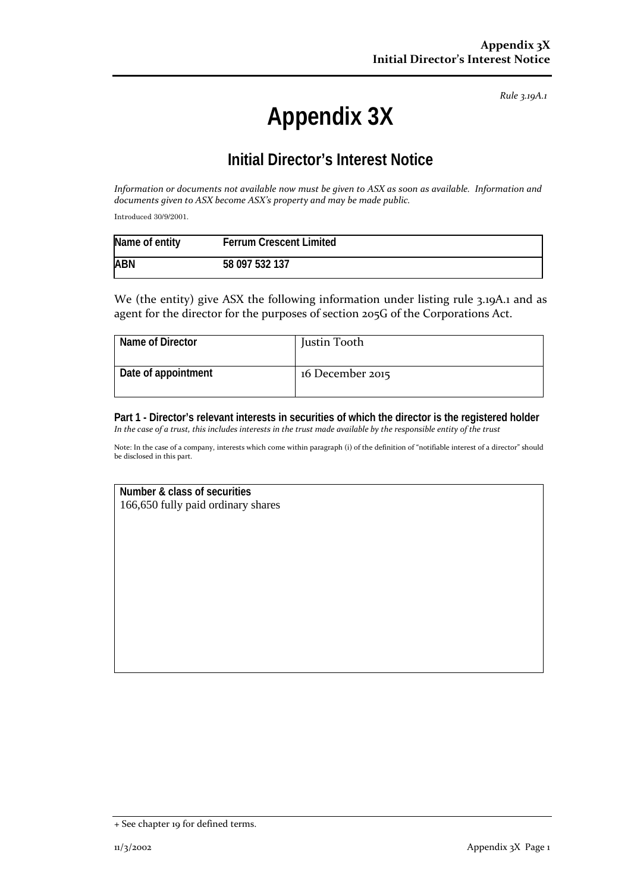*Rule 3.19A.1*

# **Appendix 3X**

## **Initial Director's Interest Notice**

*Information or documents not available now must be given to ASX as soon as available. Information and documents given to ASX become ASX's property and may be made public.*

Introduced 30/9/2001.

| Name of entity | <b>Ferrum Crescent Limited</b> |
|----------------|--------------------------------|
| <b>ABN</b>     | 58 097 532 137                 |

We (the entity) give ASX the following information under listing rule 3.19A.1 and as agent for the director for the purposes of section 205G of the Corporations Act.

| Name of Director    | Justin Tooth     |
|---------------------|------------------|
| Date of appointment | 16 December 2015 |

**Part 1 - Director's relevant interests in securities of which the director is the registered holder** *In the case of a trust, this includes interests in the trust made available by the responsible entity of the trust*

Note: In the case of a company, interests which come within paragraph (i) of the definition of "notifiable interest of a director" should be disclosed in this part.

**Number & class of securities** 166,650 fully paid ordinary shares

<sup>+</sup> See chapter 19 for defined terms.